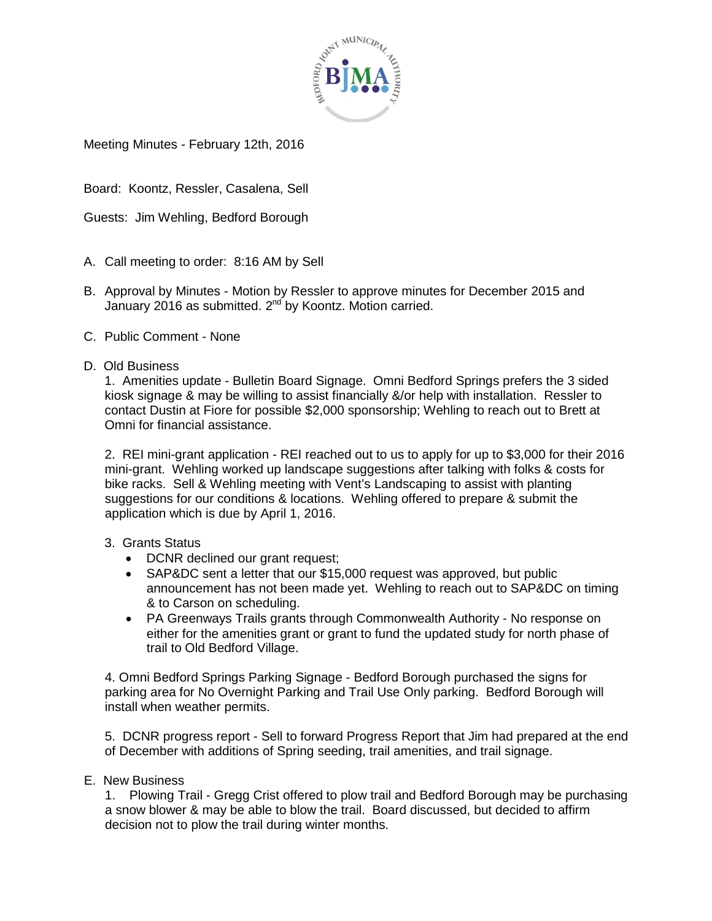

Meeting Minutes - February 12th, 2016

Board: Koontz, Ressler, Casalena, Sell

Guests: Jim Wehling, Bedford Borough

- A. Call meeting to order: 8:16 AM by Sell
- B. Approval by Minutes Motion by Ressler to approve minutes for December 2015 and January 2016 as submitted.  $2^{nd}$  by Koontz. Motion carried.
- C. Public Comment None
- D. Old Business

1. Amenities update - Bulletin Board Signage. Omni Bedford Springs prefers the 3 sided kiosk signage & may be willing to assist financially &/or help with installation. Ressler to contact Dustin at Fiore for possible \$2,000 sponsorship; Wehling to reach out to Brett at Omni for financial assistance.

2. REI mini-grant application - REI reached out to us to apply for up to \$3,000 for their 2016 mini-grant. Wehling worked up landscape suggestions after talking with folks & costs for bike racks. Sell & Wehling meeting with Vent's Landscaping to assist with planting suggestions for our conditions & locations. Wehling offered to prepare & submit the application which is due by April 1, 2016.

- 3. Grants Status
	- DCNR declined our grant request;
	- SAP&DC sent a letter that our \$15,000 request was approved, but public announcement has not been made yet. Wehling to reach out to SAP&DC on timing & to Carson on scheduling.
	- PA Greenways Trails grants through Commonwealth Authority No response on either for the amenities grant or grant to fund the updated study for north phase of trail to Old Bedford Village.

4. Omni Bedford Springs Parking Signage - Bedford Borough purchased the signs for parking area for No Overnight Parking and Trail Use Only parking. Bedford Borough will install when weather permits.

5. DCNR progress report - Sell to forward Progress Report that Jim had prepared at the end of December with additions of Spring seeding, trail amenities, and trail signage.

## E. New Business

1. Plowing Trail - Gregg Crist offered to plow trail and Bedford Borough may be purchasing a snow blower & may be able to blow the trail. Board discussed, but decided to affirm decision not to plow the trail during winter months.